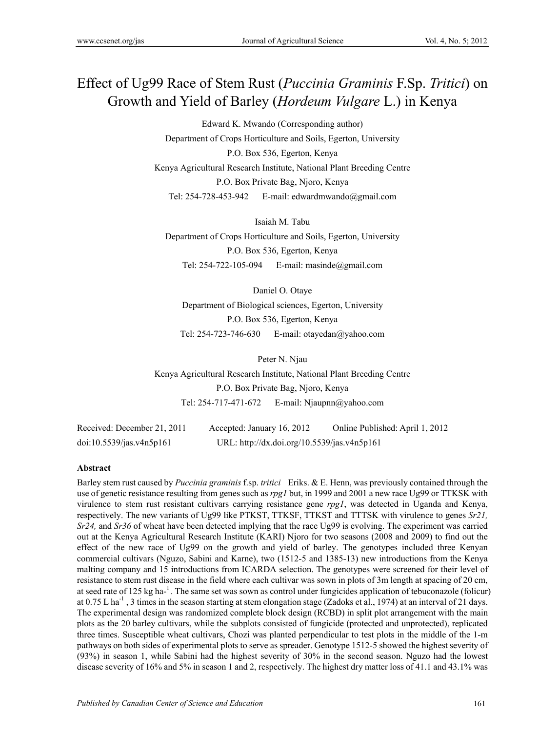# Effect of Ug99 Race of Stem Rust (*Puccinia Graminis* F.Sp. *Tritici*) on Growth and Yield of Barley (*Hordeum Vulgare* L.) in Kenya

Edward K. Mwando (Corresponding author) Department of Crops Horticulture and Soils, Egerton, University P.O. Box 536, Egerton, Kenya Kenya Agricultural Research Institute, National Plant Breeding Centre P.O. Box Private Bag, Njoro, Kenya Tel: 254-728-453-942 E-mail: edwardmwando@gmail.com

Isaiah M. Tabu Department of Crops Horticulture and Soils, Egerton, University P.O. Box 536, Egerton, Kenya Tel: 254-722-105-094 E-mail: masinde@gmail.com

Daniel O. Otaye Department of Biological sciences, Egerton, University P.O. Box 536, Egerton, Kenya Tel: 254-723-746-630 E-mail: otayedan@yahoo.com

Peter N. Njau

Kenya Agricultural Research Institute, National Plant Breeding Centre P.O. Box Private Bag, Njoro, Kenya Tel: 254-717-471-672 E-mail: Njaupnn@yahoo.com

Received: December 21, 2011 Accepted: January 16, 2012 Online Published: April 1, 2012 doi:10.5539/jas.v4n5p161 URL: http://dx.doi.org/10.5539/jas.v4n5p161

## **Abstract**

Barley stem rust caused by *Puccinia graminis* f.sp. *tritici* Eriks. & E. Henn, was previously contained through the use of genetic resistance resulting from genes such as *rpg1* but, in 1999 and 2001 a new race Ug99 or TTKSK with virulence to stem rust resistant cultivars carrying resistance gene *rpg1*, was detected in Uganda and Kenya, respectively. The new variants of Ug99 like PTKST, TTKSF, TTKST and TTTSK with virulence to genes *Sr21, Sr24,* and *Sr36* of wheat have been detected implying that the race Ug99 is evolving. The experiment was carried out at the Kenya Agricultural Research Institute (KARI) Njoro for two seasons (2008 and 2009) to find out the effect of the new race of Ug99 on the growth and yield of barley. The genotypes included three Kenyan commercial cultivars (Nguzo, Sabini and Karne), two (1512-5 and 1385-13) new introductions from the Kenya malting company and 15 introductions from ICARDA selection. The genotypes were screened for their level of resistance to stem rust disease in the field where each cultivar was sown in plots of 3m length at spacing of 20 cm, at seed rate of 125 kg ha $^{-1}$ . The same set was sown as control under fungicides application of tebuconazole (folicur) at 0.75 L ha<sup>-1</sup>, 3 times in the season starting at stem elongation stage (Zadoks et al., 1974) at an interval of 21 days. The experimental design was randomized complete block design (RCBD) in split plot arrangement with the main plots as the 20 barley cultivars, while the subplots consisted of fungicide (protected and unprotected), replicated three times. Susceptible wheat cultivars, Chozi was planted perpendicular to test plots in the middle of the 1-m pathways on both sides of experimental plots to serve as spreader. Genotype 1512-5 showed the highest severity of (93%) in season 1, while Sabini had the highest severity of 30% in the second season. Nguzo had the lowest disease severity of 16% and 5% in season 1 and 2, respectively. The highest dry matter loss of 41.1 and 43.1% was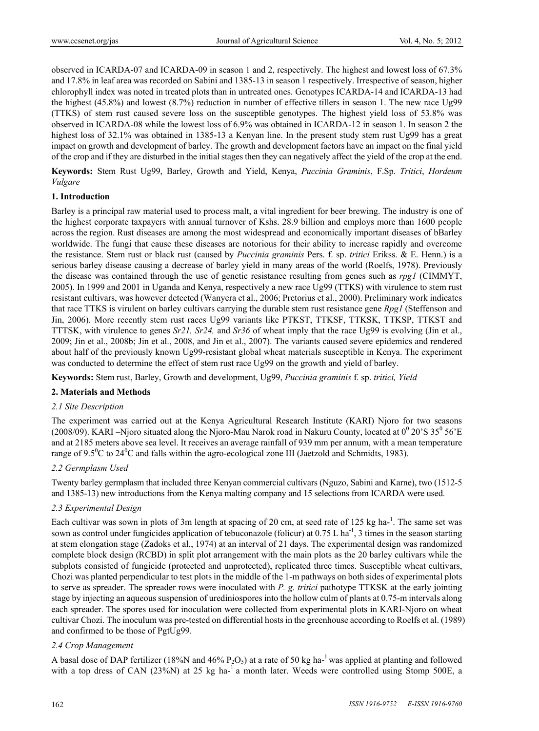observed in ICARDA-07 and ICARDA-09 in season 1 and 2, respectively. The highest and lowest loss of 67.3% and 17.8% in leaf area was recorded on Sabini and 1385-13 in season 1 respectively. Irrespective of season, higher chlorophyll index was noted in treated plots than in untreated ones. Genotypes ICARDA-14 and ICARDA-13 had the highest (45.8%) and lowest (8.7%) reduction in number of effective tillers in season 1. The new race Ug99 (TTKS) of stem rust caused severe loss on the susceptible genotypes. The highest yield loss of 53.8% was observed in ICARDA-08 while the lowest loss of 6.9% was obtained in ICARDA-12 in season 1. In season 2 the highest loss of 32.1% was obtained in 1385-13 a Kenyan line. In the present study stem rust Ug99 has a great impact on growth and development of barley. The growth and development factors have an impact on the final yield of the crop and if they are disturbed in the initial stages then they can negatively affect the yield of the crop at the end.

**Keywords:** Stem Rust Ug99, Barley, Growth and Yield, Kenya, *Puccinia Graminis*, F.Sp. *Tritici*, *Hordeum Vulgare*

#### **1. Introduction**

Barley is a principal raw material used to process malt, a vital ingredient for beer brewing. The industry is one of the highest corporate taxpayers with annual turnover of Kshs. 28.9 billion and employs more than 1600 people across the region. Rust diseases are among the most widespread and economically important diseases of bBarley worldwide. The fungi that cause these diseases are notorious for their ability to increase rapidly and overcome the resistance. Stem rust or black rust (caused by *Puccinia graminis* Pers. f. sp. *tritici* Erikss. & E. Henn.) is a serious barley disease causing a decrease of barley yield in many areas of the world (Roelfs, 1978). Previously the disease was contained through the use of genetic resistance resulting from genes such as *rpg1* (CIMMYT, 2005). In 1999 and 2001 in Uganda and Kenya, respectively a new race Ug99 (TTKS) with virulence to stem rust resistant cultivars, was however detected (Wanyera et al., 2006; Pretorius et al., 2000). Preliminary work indicates that race TTKS is virulent on barley cultivars carrying the durable stem rust resistance gene *Rpg1* (Steffenson and Jin, 2006)*.* More recently stem rust races Ug99 variants like PTKST, TTKSF, TTKSK, TTKSP, TTKST and TTTSK, with virulence to genes *Sr21, Sr24,* and *Sr36* of wheat imply that the race Ug99 is evolving (Jin et al., 2009; Jin et al., 2008b; Jin et al., 2008, and Jin et al., 2007). The variants caused severe epidemics and rendered about half of the previously known Ug99-resistant global wheat materials susceptible in Kenya. The experiment was conducted to determine the effect of stem rust race Ug99 on the growth and yield of barley.

**Keywords:** Stem rust, Barley, Growth and development, Ug99, *Puccinia graminis* f. sp. *tritici, Yield* 

## **2. Materials and Methods**

## *2.1 Site Description*

The experiment was carried out at the Kenya Agricultural Research Institute (KARI) Njoro for two seasons (2008/09). KARI –Njoro situated along the Njoro-Mau Narok road in Nakuru County, located at  $0^0$  20'S 35<sup>0</sup> 56'E and at 2185 meters above sea level. It receives an average rainfall of 939 mm per annum, with a mean temperature range of  $9.5^{\circ}$ C to  $24^{\circ}$ C and falls within the agro-ecological zone III (Jaetzold and Schmidts, 1983).

## *2.2 Germplasm Used*

Twenty barley germplasm that included three Kenyan commercial cultivars (Nguzo, Sabini and Karne), two (1512-5 and 1385-13) new introductions from the Kenya malting company and 15 selections from ICARDA were used.

## *2.3 Experimental Design*

Each cultivar was sown in plots of 3m length at spacing of 20 cm, at seed rate of 125 kg ha- $^1$ . The same set was sown as control under fungicides application of tebuconazole (folicur) at  $0.75$  L ha<sup>-1</sup>, 3 times in the season starting at stem elongation stage (Zadoks et al., 1974) at an interval of 21 days. The experimental design was randomized complete block design (RCBD) in split plot arrangement with the main plots as the 20 barley cultivars while the subplots consisted of fungicide (protected and unprotected), replicated three times. Susceptible wheat cultivars, Chozi was planted perpendicular to test plots in the middle of the 1-m pathways on both sides of experimental plots to serve as spreader. The spreader rows were inoculated with *P. g. tritici* pathotype TTKSK at the early jointing stage by injecting an aqueous suspension of urediniospores into the hollow culm of plants at 0.75-m intervals along each spreader. The spores used for inoculation were collected from experimental plots in KARI-Njoro on wheat cultivar Chozi. The inoculum was pre-tested on differential hosts in the greenhouse according to Roelfs et al. (1989) and confirmed to be those of PgtUg99.

#### *2.4 Crop Management*

A basal dose of DAP fertilizer (18%N and 46%  $P_2O_5$ ) at a rate of 50 kg ha-<sup>1</sup> was applied at planting and followed with a top dress of CAN (23%N) at 25 kg ha-<sup>1</sup> a month later. Weeds were controlled using Stomp 500E, a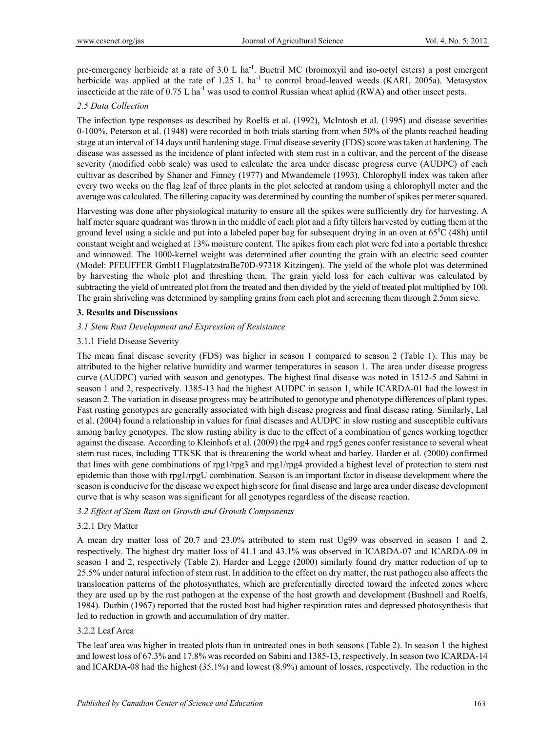pre-emergency herbicide at a rate of 3.0 L ha<sup>-1</sup>. Buctril MC (bromoxyil and iso-octyl esters) a post emergent herbicide was applied at the rate of  $1.25$  L ha<sup>-1</sup> to control broad-leaved weeds (KARI, 2005a). Metasystox insecticide at the rate of 0.75 L ha<sup>-1</sup> was used to control Russian wheat aphid (RWA) and other insect pests.

### *2.5 Data Collection*

The infection type responses as described by Roelfs et al. (1992), McIntosh et al. (1995) and disease severities 0-100%, Peterson et al. (1948) were recorded in both trials starting from when 50% of the plants reached heading stage at an interval of 14 days until hardening stage. Final disease severity (FDS) score was taken at hardening. The disease was assessed as the incidence of plant infected with stem rust in a cultivar, and the percent of the disease severity (modified cobb scale) was used to calculate the area under disease progress curve (AUDPC) of each cultivar as described by Shaner and Finney (1977) and Mwandemele (1993). Chlorophyll index was taken after every two weeks on the flag leaf of three plants in the plot selected at random using a chlorophyll meter and the average was calculated. The tillering capacity was determined by counting the number of spikes per meter squared.

Harvesting was done after physiological maturity to ensure all the spikes were sufficiently dry for harvesting. A half meter square quadrant was thrown in the middle of each plot and a fifty tillers harvested by cutting them at the ground level using a sickle and put into a labeled paper bag for subsequent drying in an oven at  $65^{\circ}$ C (48h) until constant weight and weighed at 13% moisture content. The spikes from each plot were fed into a portable thresher and winnowed. The 1000-kernel weight was determined after counting the grain with an electric seed counter (Model: PFEUFFER GmbH FlugplatzstraBe70D-97318 Kitzingen). The yield of the whole plot was determined by harvesting the whole plot and threshing them. The grain yield loss for each cultivar was calculated by subtracting the yield of untreated plot from the treated and then divided by the yield of treated plot multiplied by 100. The grain shriveling was determined by sampling grains from each plot and screening them through 2.5mm sieve.

#### **3. Results and Discussions**

#### *3.1 Stem Rust Development and Expression of Resistance*

#### 3.1.1 Field Disease Severity

The mean final disease severity (FDS) was higher in season 1 compared to season 2 (Table 1). This may be attributed to the higher relative humidity and warmer temperatures in season 1. The area under disease progress curve (AUDPC) varied with season and genotypes. The highest final disease was noted in 1512-5 and Sabini in season 1 and 2, respectively. 1385-13 had the highest AUDPC in season 1, while ICARDA-01 had the lowest in season 2. The variation in disease progress may be attributed to genotype and phenotype differences of plant types. Fast rusting genotypes are generally associated with high disease progress and final disease rating. Similarly, Lal et al. (2004) found a relationship in values for final diseases and AUDPC in slow rusting and susceptible cultivars among barley genotypes. The slow rusting ability is due to the effect of a combination of genes working together against the disease. According to Kleinhofs et al. (2009) the rpg4 and rpg5 genes confer resistance to several wheat stem rust races, including TTKSK that is threatening the world wheat and barley. Harder et al. (2000) confirmed that lines with gene combinations of rpg1/rpg3 and rpg1/rpg4 provided a highest level of protection to stem rust epidemic than those with rpg1/rpgU combination. Season is an important factor in disease development where the season is conducive for the disease we expect high score for final disease and large area under disease development curve that is why season was significant for all genotypes regardless of the disease reaction.

#### *3.2 Effect of Stem Rust on Growth and Growth Components*

#### 3.2.1 Dry Matter

A mean dry matter loss of 20.7 and 23.0% attributed to stem rust Ug99 was observed in season 1 and 2, respectively. The highest dry matter loss of 41.1 and 43.1% was observed in ICARDA-07 and ICARDA-09 in season 1 and 2, respectively (Table 2). Harder and Legge (2000) similarly found dry matter reduction of up to 25.5% under natural infection of stem rust. In addition to the effect on dry matter, the rust pathogen also affects the translocation patterns of the photosynthates, which are preferentially directed toward the infected zones where they are used up by the rust pathogen at the expense of the host growth and development (Bushnell and Roelfs, 1984). Durbin (1967) reported that the rusted host had higher respiration rates and depressed photosynthesis that led to reduction in growth and accumulation of dry matter.

#### 3.2.2 Leaf Area

The leaf area was higher in treated plots than in untreated ones in both seasons (Table 2). In season 1 the highest and lowest loss of 67.3% and 17.8% was recorded on Sabini and 1385-13, respectively. In season two ICARDA-14 and ICARDA-08 had the highest (35.1%) and lowest (8.9%) amount of losses, respectively. The reduction in the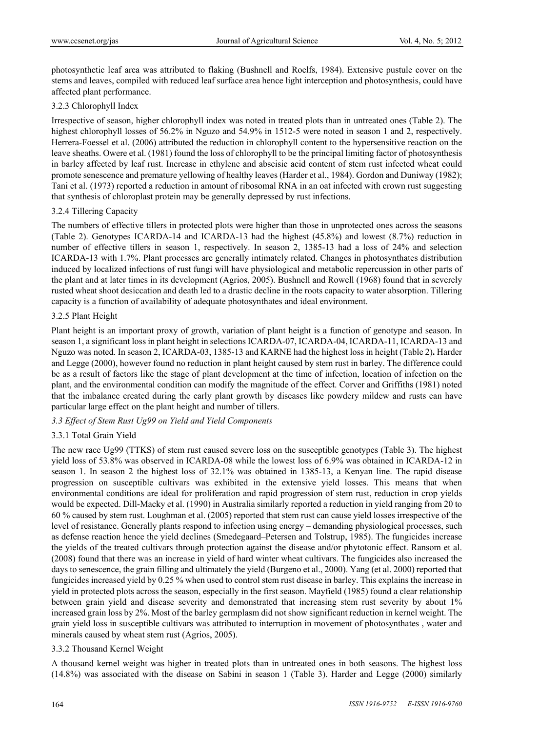photosynthetic leaf area was attributed to flaking (Bushnell and Roelfs, 1984). Extensive pustule cover on the stems and leaves, compiled with reduced leaf surface area hence light interception and photosynthesis, could have affected plant performance.

# 3.2.3 Chlorophyll Index

Irrespective of season, higher chlorophyll index was noted in treated plots than in untreated ones (Table 2). The highest chlorophyll losses of 56.2% in Nguzo and 54.9% in 1512-5 were noted in season 1 and 2, respectively. Herrera-Foessel et al. (2006) attributed the reduction in chlorophyll content to the hypersensitive reaction on the leave sheaths. Owere et al. (1981) found the loss of chlorophyll to be the principal limiting factor of photosynthesis in barley affected by leaf rust. Increase in ethylene and abscisic acid content of stem rust infected wheat could promote senescence and premature yellowing of healthy leaves (Harder et al., 1984). Gordon and Duniway (1982); Tani et al. (1973) reported a reduction in amount of ribosomal RNA in an oat infected with crown rust suggesting that synthesis of chloroplast protein may be generally depressed by rust infections.

# 3.2.4 Tillering Capacity

The numbers of effective tillers in protected plots were higher than those in unprotected ones across the seasons (Table 2). Genotypes ICARDA-14 and ICARDA-13 had the highest (45.8%) and lowest (8.7%) reduction in number of effective tillers in season 1, respectively. In season 2, 1385-13 had a loss of 24% and selection ICARDA-13 with 1.7%. Plant processes are generally intimately related. Changes in photosynthates distribution induced by localized infections of rust fungi will have physiological and metabolic repercussion in other parts of the plant and at later times in its development (Agrios, 2005). Bushnell and Rowell (1968) found that in severely rusted wheat shoot desiccation and death led to a drastic decline in the roots capacity to water absorption. Tillering capacity is a function of availability of adequate photosynthates and ideal environment.

# 3.2.5 Plant Height

Plant height is an important proxy of growth, variation of plant height is a function of genotype and season. In season 1, a significant loss in plant height in selections ICARDA-07, ICARDA-04, ICARDA-11, ICARDA-13 and Nguzo was noted. In season 2, ICARDA-03, 1385-13 and KARNE had the highest loss in height (Table 2)**.** Harder and Legge (2000), however found no reduction in plant height caused by stem rust in barley. The difference could be as a result of factors like the stage of plant development at the time of infection, location of infection on the plant, and the environmental condition can modify the magnitude of the effect. Corver and Griffiths (1981) noted that the imbalance created during the early plant growth by diseases like powdery mildew and rusts can have particular large effect on the plant height and number of tillers.

# *3.3 Effect of Stem Rust Ug99 on Yield and Yield Components*

# 3.3.1 Total Grain Yield

The new race Ug99 (TTKS) of stem rust caused severe loss on the susceptible genotypes (Table 3). The highest yield loss of 53.8% was observed in ICARDA-08 while the lowest loss of 6.9% was obtained in ICARDA-12 in season 1. In season 2 the highest loss of 32.1% was obtained in 1385-13, a Kenyan line. The rapid disease progression on susceptible cultivars was exhibited in the extensive yield losses. This means that when environmental conditions are ideal for proliferation and rapid progression of stem rust, reduction in crop yields would be expected. Dill-Macky et al. (1990) in Australia similarly reported a reduction in yield ranging from 20 to 60 % caused by stem rust. Loughman et al. (2005) reported that stem rust can cause yield losses irrespective of the level of resistance. Generally plants respond to infection using energy – demanding physiological processes, such as defense reaction hence the yield declines (Smedegaard–Petersen and Tolstrup, 1985). The fungicides increase the yields of the treated cultivars through protection against the disease and/or phytotonic effect. Ransom et al. (2008) found that there was an increase in yield of hard winter wheat cultivars. The fungicides also increased the days to senescence, the grain filling and ultimately the yield (Burgeno et al., 2000). Yang (et al. 2000) reported that fungicides increased yield by 0.25 % when used to control stem rust disease in barley. This explains the increase in yield in protected plots across the season, especially in the first season. Mayfield (1985) found a clear relationship between grain yield and disease severity and demonstrated that increasing stem rust severity by about 1% increased grain loss by 2%. Most of the barley germplasm did not show significant reduction in kernel weight. The grain yield loss in susceptible cultivars was attributed to interruption in movement of photosynthates , water and minerals caused by wheat stem rust (Agrios, 2005).

# 3.3.2 Thousand Kernel Weight

A thousand kernel weight was higher in treated plots than in untreated ones in both seasons. The highest loss (14.8%) was associated with the disease on Sabini in season 1 (Table 3). Harder and Legge (2000) similarly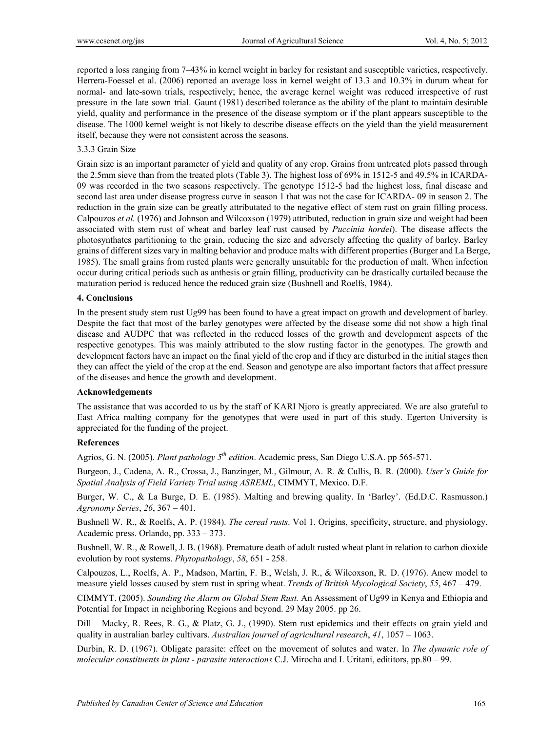reported a loss ranging from 7–43% in kernel weight in barley for resistant and susceptible varieties, respectively. Herrera-Foessel et al. (2006) reported an average loss in kernel weight of 13.3 and 10.3% in durum wheat for normal- and late-sown trials, respectively; hence, the average kernel weight was reduced irrespective of rust pressure in the late sown trial. Gaunt (1981) described tolerance as the ability of the plant to maintain desirable yield, quality and performance in the presence of the disease symptom or if the plant appears susceptible to the disease. The 1000 kernel weight is not likely to describe disease effects on the yield than the yield measurement itself, because they were not consistent across the seasons.

#### 3.3.3 Grain Size

Grain size is an important parameter of yield and quality of any crop. Grains from untreated plots passed through the 2.5mm sieve than from the treated plots (Table 3). The highest loss of 69% in 1512-5 and 49.5% in ICARDA-09 was recorded in the two seasons respectively. The genotype 1512-5 had the highest loss, final disease and second last area under disease progress curve in season 1 that was not the case for ICARDA- 09 in season 2. The reduction in the grain size can be greatly attributated to the negative effect of stem rust on grain filling process. Calpouzos *et al.* (1976) and Johnson and Wilcoxson (1979) attributed, reduction in grain size and weight had been associated with stem rust of wheat and barley leaf rust caused by *Puccinia hordei*). The disease affects the photosynthates partitioning to the grain, reducing the size and adversely affecting the quality of barley. Barley grains of different sizes vary in malting behavior and produce malts with different properties (Burger and La Berge, 1985). The small grains from rusted plants were generally unsuitable for the production of malt. When infection occur during critical periods such as anthesis or grain filling, productivity can be drastically curtailed because the maturation period is reduced hence the reduced grain size (Bushnell and Roelfs, 1984).

## **4. Conclusions**

In the present study stem rust Ug99 has been found to have a great impact on growth and development of barley. Despite the fact that most of the barley genotypes were affected by the disease some did not show a high final disease and AUDPC that was reflected in the reduced losses of the growth and development aspects of the respective genotypes. This was mainly attributed to the slow rusting factor in the genotypes. The growth and development factors have an impact on the final yield of the crop and if they are disturbed in the initial stages then they can affect the yield of the crop at the end. Season and genotype are also important factors that affect pressure of the diseases and hence the growth and development.

#### **Acknowledgements**

The assistance that was accorded to us by the staff of KARI Njoro is greatly appreciated. We are also grateful to East Africa malting company for the genotypes that were used in part of this study. Egerton University is appreciated for the funding of the project.

# **References**

Agrios, G. N. (2005). *Plant pathology 5th edition*. Academic press, San Diego U.S.A. pp 565-571.

Burgeon, J., Cadena, A. R., Crossa, J., Banzinger, M., Gilmour, A. R. & Cullis, B. R. (2000). *User's Guide for Spatial Analysis of Field Variety Trial using ASREML*, CIMMYT, Mexico. D.F.

Burger, W. C., & La Burge, D. E. (1985). Malting and brewing quality. In 'Barley'. (Ed.D.C. Rasmusson.) *Agronomy Series*, *26*, 367 – 401.

Bushnell W. R., & Roelfs, A. P. (1984). *The cereal rusts*. Vol 1. Origins, specificity, structure, and physiology. Academic press. Orlando, pp. 333 – 373.

Bushnell, W. R., & Rowell, J. B. (1968). Premature death of adult rusted wheat plant in relation to carbon dioxide evolution by root systems. *Phytopathology*, *58*, 651 - 258.

Calpouzos, L., Roelfs, A. P., Madson, Martin, F. B., Welsh, J. R., & Wilcoxson, R. D. (1976). Anew model to measure yield losses caused by stem rust in spring wheat. *Trends of British Mycological Society*, *55*, 467 – 479.

CIMMYT. (2005). *Sounding the Alarm on Global Stem Rust.* An Assessment of Ug99 in Kenya and Ethiopia and Potential for Impact in neighboring Regions and beyond. 29 May 2005. pp 26.

Dill – Macky, R. Rees, R. G., & Platz, G. J., (1990). Stem rust epidemics and their effects on grain yield and quality in australian barley cultivars. *Australian journel of agricultural research*, *41*, 1057 – 1063.

Durbin, R. D. (1967). Obligate parasite: effect on the movement of solutes and water. In *The dynamic role of molecular constituents in plant - parasite interactions* C.J. Mirocha and I. Uritani, edititors, pp.80 – 99.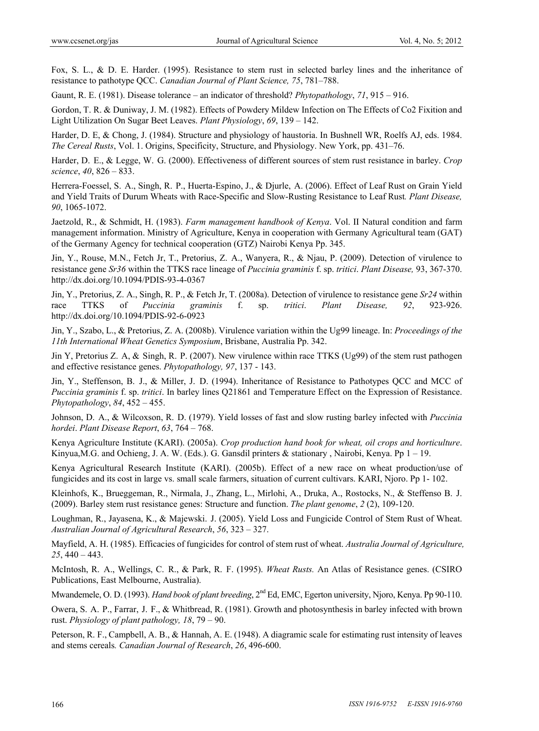Fox, S. L., & D. E. Harder. (1995). Resistance to stem rust in selected barley lines and the inheritance of resistance to pathotype QCC. *Canadian Journal of Plant Science, 75*, 781–788.

Gaunt, R. E. (1981). Disease tolerance – an indicator of threshold? *Phytopathology*, *71*, 915 – 916.

Gordon, T. R. & Duniway, J. M. (1982). Effects of Powdery Mildew Infection on The Effects of Co2 Fixition and Light Utilization On Sugar Beet Leaves. *Plant Physiology*, *69*, 139 – 142.

Harder, D. E, & Chong, J. (1984). Structure and physiology of haustoria. In Bushnell WR, Roelfs AJ, eds. 1984. *The Cereal Rusts*, Vol. 1. Origins, Specificity, Structure, and Physiology. New York, pp. 431–76.

Harder, D. E., & Legge, W. G. (2000). Effectiveness of different sources of stem rust resistance in barley. *Crop science*, *40*, 826 – 833.

Herrera-Foessel, S. A., Singh, R. P., Huerta-Espino, J., & Djurle, A. (2006). Effect of Leaf Rust on Grain Yield and Yield Traits of Durum Wheats with Race-Specific and Slow-Rusting Resistance to Leaf Rust*. Plant Disease, 90*, 1065-1072.

Jaetzold, R., & Schmidt, H. (1983). *Farm management handbook of Kenya*. Vol. II Natural condition and farm management information. Ministry of Agriculture, Kenya in cooperation with Germany Agricultural team (GAT) of the Germany Agency for technical cooperation (GTZ) Nairobi Kenya Pp. 345.

Jin, Y., Rouse, M.N., Fetch Jr, T., Pretorius, Z. A., Wanyera, R., & Njau, P. (2009). Detection of virulence to resistance gene *Sr36* within the TTKS race lineage of *Puccinia graminis* f. sp. *tritici*. *Plant Disease,* 93, 367-370. http://dx.doi.org/10.1094/PDIS-93-4-0367

Jin, Y., Pretorius, Z. A., Singh, R. P., & Fetch Jr, T. (2008a). Detection of virulence to resistance gene *Sr24* within race TTKS of *Puccinia graminis* f. sp. *tritici*. *Plant Disease, 92*, 923-926. http://dx.doi.org/10.1094/PDIS-92-6-0923

Jin, Y., Szabo, L., & Pretorius, Z. A. (2008b). Virulence variation within the Ug99 lineage. In: *Proceedings of the 11th International Wheat Genetics Symposium*, Brisbane, Australia Pp. 342.

Jin Y, Pretorius Z. A, & Singh, R. P. (2007). New virulence within race TTKS (Ug99) of the stem rust pathogen and effective resistance genes. *Phytopathology, 97*, 137 - 143.

Jin, Y., Steffenson, B. J., & Miller, J. D. (1994). Inheritance of Resistance to Pathotypes QCC and MCC of *Puccinia graminis* f. sp. *tritici*. In barley lines Q21861 and Temperature Effect on the Expression of Resistance. *Phytopathology*, *84*, 452 – 455.

Johnson, D. A., & Wilcoxson, R. D. (1979). Yield losses of fast and slow rusting barley infected with *Puccinia hordei*. *Plant Disease Report*, *63*, 764 – 768.

Kenya Agriculture Institute (KARI). (2005a). *Crop production hand book for wheat, oil crops and horticulture*. Kinyua,M.G. and Ochieng, J. A. W. (Eds.). G. Gansdil printers & stationary , Nairobi, Kenya. Pp 1 – 19.

Kenya Agricultural Research Institute (KARI). (2005b). Effect of a new race on wheat production/use of fungicides and its cost in large vs. small scale farmers, situation of current cultivars. KARI, Njoro. Pp 1- 102.

Kleinhofs, K., Brueggeman, R., Nirmala, J., Zhang, L., Mirlohi, A., Druka, A., Rostocks, N., & Steffenso B. J. (2009). Barley stem rust resistance genes: Structure and function. *The plant genome*, *2* (2), 109-120.

Loughman, R., Jayasena, K., & Majewski. J. (2005). Yield Loss and Fungicide Control of Stem Rust of Wheat. *Australian Journal of Agricultural Research*, *56*, 323 – 327.

Mayfield, A. H. (1985). Efficacies of fungicides for control of stem rust of wheat. *Australia Journal of Agriculture, 25*, 440 – 443.

McIntosh, R. A., Wellings, C. R., & Park, R. F. (1995). *Wheat Rusts.* An Atlas of Resistance genes. (CSIRO Publications, East Melbourne, Australia).

Mwandemele, O. D. (1993). *Hand book of plant breeding*,  $2^{nd}$  Ed, EMC, Egerton university, Njoro, Kenya. Pp 90-110.

Owera, S. A. P., Farrar, J. F., & Whitbread, R. (1981). Growth and photosynthesis in barley infected with brown rust. *Physiology of plant pathology, 18*, 79 – 90.

Peterson, R. F., Campbell, A. B., & Hannah, A. E. (1948). A diagramic scale for estimating rust intensity of leaves and stems cereals*. Canadian Journal of Research*, *26*, 496-600.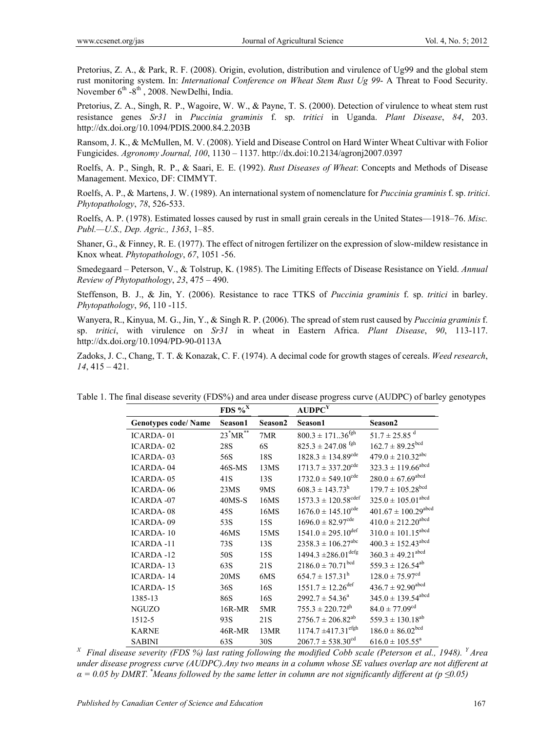Pretorius, Z. A., & Park, R. F. (2008). Origin, evolution, distribution and virulence of Ug99 and the global stem rust monitoring system. In: *International Conference on Wheat Stem Rust Ug 99*- A Threat to Food Security. November  $6^{th}$  -8<sup>th</sup>, 2008. NewDelhi, India.

Pretorius, Z. A., Singh, R. P., Wagoire, W. W., & Payne, T. S. (2000). Detection of virulence to wheat stem rust resistance genes *Sr31* in *Puccinia graminis* f. sp. *tritici* in Uganda. *Plant Disease*, *84*, 203. http://dx.doi.org/10.1094/PDIS.2000.84.2.203B

Ransom, J. K., & McMullen, M. V. (2008). Yield and Disease Control on Hard Winter Wheat Cultivar with Folior Fungicides. *Agronomy Journal, 100*, 1130 – 1137. http://dx.doi:10.2134/agronj2007.0397

Roelfs, A. P., Singh, R. P., & Saari, E. E. (1992). *Rust Diseases of Wheat*: Concepts and Methods of Disease Management. Mexico, DF: CIMMYT.

Roelfs, A. P., & Martens, J. W. (1989). An international system of nomenclature for *Puccinia graminis* f. sp. *tritici*. *Phytopathology*, *78*, 526-533.

Roelfs, A. P. (1978). Estimated losses caused by rust in small grain cereals in the United States—1918–76. *Misc. Publ.—U.S., Dep. Agric., 1363*, 1–85.

Shaner, G., & Finney, R. E. (1977). The effect of nitrogen fertilizer on the expression of slow-mildew resistance in Knox wheat. *Phytopathology*, *67*, 1051 -56.

Smedegaard – Peterson, V., & Tolstrup, K. (1985). The Limiting Effects of Disease Resistance on Yield. *Annual Review of Phytopathology*, *23*, 475 – 490.

Steffenson, B. J., & Jin, Y. (2006). Resistance to race TTKS of *Puccinia graminis* f. sp. *tritici* in barley. *Phytopathology*, *96*, 110 -115.

Wanyera, R., Kinyua, M. G., Jin, Y., & Singh R. P. (2006). The spread of stem rust caused by *Puccinia graminis* f. sp. *tritici*, with virulence on *Sr31* in wheat in Eastern Africa. *Plant Disease*, *90*, 113-117. http://dx.doi.org/10.1094/PD-90-0113A

Zadoks, J. C., Chang, T. T. & Konazak, C. F. (1974). A decimal code for growth stages of cereals. *Weed research*, *14*, 415 – 421.

|                            | FDS $\%^X$               |         | AUDPC <sup>Y</sup>                  |                                     |
|----------------------------|--------------------------|---------|-------------------------------------|-------------------------------------|
| <b>Genotypes code/Name</b> | Season1                  | Season2 | Season1                             | Season2                             |
| <b>ICARDA-01</b>           | $23^*MR^{\overline{**}}$ | 7MR     | $800.3 \pm 17136^{fgh}$             | $51.7 \pm 25.85$ <sup>d</sup>       |
| ICARDA-02                  | <b>28S</b>               | 6S      | $825.3 \pm 247.08$ <sup>fgh</sup>   | $162.7 \pm 89.25^{bcd}$             |
| <b>ICARDA-03</b>           | 56S                      | 18S     | $1828.3 \pm 134.89^{cde}$           | $479.0 \pm 210.32^{abc}$            |
| <b>ICARDA-04</b>           | $46S$ -MS                | 13MS    | $1713.7 \pm 337.20^{\text{cde}}$    | $323.3 \pm 119.66$ <sup>abcd</sup>  |
| <b>ICARDA-05</b>           | 41S                      | 13S     | $1732.0 \pm 549.10^{\text{cde}}$    | $280.0 \pm 67.69$ <sup>abcd</sup>   |
| <b>ICARDA-06</b>           | 23MS                     | 9MS     | $608.3 \pm 143.73^{\rm h}$          | $179.7 \pm 105.28^{bcd}$            |
| <b>ICARDA-07</b>           | $40MS-S$                 | 16MS    | $1573.3 \pm 120.58^{\text{cdef}}$   | $325.0 \pm 105.01$ <sup>abcd</sup>  |
| <b>ICARDA-08</b>           | 45S                      | 16MS    | $1676.0 \pm 145.10^{\text{cde}}$    | $401.67 \pm 100.29$ <sup>abcd</sup> |
| <b>ICARDA-09</b>           | 53S                      | 15S     | $1696.0 \pm 82.97$ <sup>cde</sup>   | $410.0 \pm 212.20^{abcd}$           |
| <b>ICARDA-10</b>           | 46MS                     | 15MS    | $1541.0 \pm 295.10$ <sup>def</sup>  | $310.0 \pm 101.15^{abcd}$           |
| <b>ICARDA-11</b>           | 73S                      | 13S     | $2358.3 \pm 106.27^{abc}$           | $400.3 \pm 152.43$ <sup>abcd</sup>  |
| <b>ICARDA-12</b>           | 50S                      | 15S     | $1494.3 \pm 286.01$ <sup>defg</sup> | $360.3 \pm 49.21$ <sup>abcd</sup>   |
| <b>ICARDA-13</b>           | 63S                      | 21S     | $2186.0 \pm 70.71^{bcd}$            | $559.3 \pm 126.54^{ab}$             |
| <b>ICARDA-14</b>           | 20MS                     | 6MS     | $654.7 \pm 157.31^h$                | $128.0 \pm 75.97^{cd}$              |
| <b>ICARDA-15</b>           | 36S                      | 16S     | $1551.7 \pm 12.26$ <sup>def</sup>   | $436.7 \pm 92.90^{abcd}$            |
| 1385-13                    | 86S                      | 16S     | $2992.7 \pm 54.36^a$                | $345.0 \pm 139.54^{abcd}$           |
| <b>NGUZO</b>               | 16R-MR                   | 5MR     | $755.3 \pm 220.72$ <sup>gh</sup>    | $84.0 \pm 77.09^{cd}$               |
| 1512-5                     | 93S                      | 21S     | $2756.7 \pm 206.82^{ab}$            | $559.3 \pm 130.18^{ab}$             |
| <b>KARNE</b>               | $46R-MR$                 | 13MR    | $1174.7 \pm 417.31$ <sup>efgh</sup> | $186.0 \pm 86.02^{bcd}$             |
| <b>SABINI</b>              | 63S                      | 30S     | $2067.7 \pm 538.30^{cd}$            | $616.0 \pm 105.55^a$                |

Table 1. The final disease severity (FDS%) and area under disease progress curve (AUDPC) of barley genotypes

*X Final disease severity (FDS %) last rating following the modified Cobb scale (Peterson et al., 1948). Y Area under disease progress curve (AUDPC).Any two means in a column whose SE values overlap are not different at*   $\alpha$  = 0.05 by DMRT.<sup>\*</sup>Means followed by the same letter in column are not significantly different at ( $p \le 0.05$ )